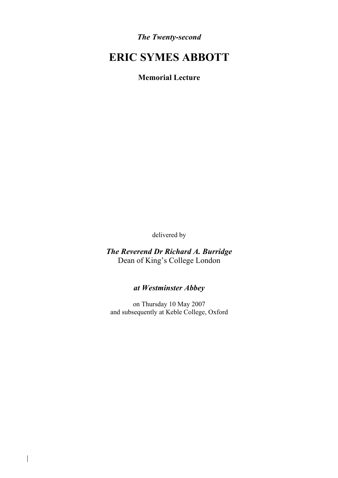*The Twenty-second*

# **ERIC SYMES ABBOTT**

**Memorial Lecture**

delivered by

*The Reverend Dr Richard A. Burridge* Dean of King's College London

### *at Westminster Abbey*

on Thursday 10 May 2007 and subsequently at Keble College, Oxford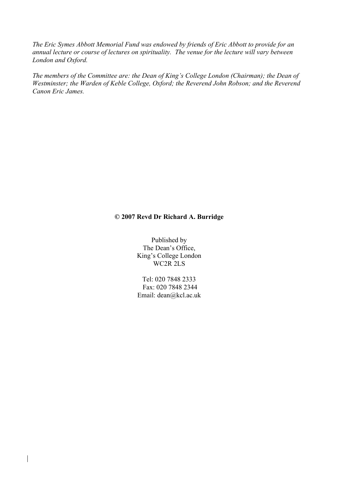*The Eric Symes Abbott Memorial Fund was endowed by friends of Eric Abbott to provide for an annual lecture or course of lectures on spirituality. The venue for the lecture will vary between London and Oxford.*

*The members of the Committee are: the Dean of King's College London (Chairman); the Dean of Westminster; the Warden of Keble College, Oxford; the Reverend John Robson; and the Reverend Canon Eric James.*

#### **© 2007 Revd Dr Richard A. Burridge**

Published by The Dean's Office, King's College London WC2R 2LS

Tel: 020 7848 2333 Fax: 020 7848 2344 Email: dean@kcl.ac.uk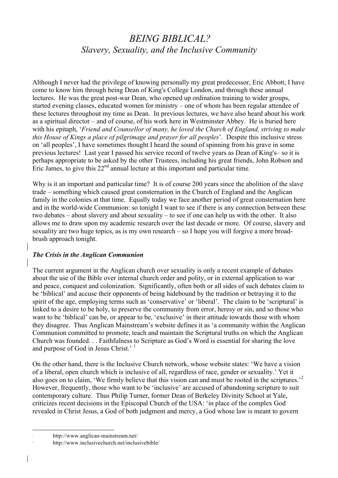## *BEING BIBLICAL? Slavery, Sexuality, and the Inclusive Community*

Although I never had the privilege of knowing personally my great predecessor, Eric Abbott, I have come to know him through being Dean of King's College London, and through these annual lectures. He was the great post-war Dean, who opened up ordination training to wider groups, started evening classes, educated women for ministry – one of whom has been regular attendee of these lectures throughout my time as Dean. In previous lectures, we have also heard about his work as a spiritual director – and of course, of his work here in Westminster Abbey. He is buried here with his epitaph, '*Friend and Counsellor of many, he loved the Church of England, striving to make this House of Kings a place of pilgrimage and prayer for all peoples*'. Despite this inclusive stress on 'all peoples', I have sometimes thought I heard the sound of spinning from his grave in some previous lectures! Last year I passed his service record of twelve years as Dean of King's– so it is perhaps appropriate to be asked by the other Trustees, including his great friends, John Robson and Eric James, to give this  $22<sup>nd</sup>$  annual lecture at this important and particular time.

Why is it an important and particular time? It is of course 200 years since the abolition of the slave trade – something which caused great consternation in the Church of England and the Anglican family in the colonies at that time. Equally today we face another period of great consternation here and in the world-wide Communion: so tonight I want to see if there is any connection between these two debates – about slavery and about sexuality – to see if one can help us with the other. It also allows me to draw upon my academic research over the last decade or more. Of course, slavery and sexuality are two huge topics, as is my own research – so I hope you will forgive a more broadbrush approach tonight.

#### *The Crisis in the Anglican Communion*

The current argument in the Anglican church over sexuality is only a recent example of debates about the use of the Bible over internal church order and polity, or in external application to war and peace, conquest and colonization. Significantly, often both or all sides of such debates claim to be 'biblical' and accuse their opponents of being hidebound by the tradition or betraying it to the spirit of the age, employing terms such as 'conservative' or 'liberal'. The claim to be 'scriptural' is linked to a desire to be holy, to preserve the community from error, heresy or sin, and so those who want to be 'biblical' can be, or appear to be, 'exclusive' in their attitude towards those with whom they disagree. Thus Anglican Mainstream's website defines it as 'a community within the Anglican Communion committed to promote, teach and maintain the Scriptural truths on which the Anglican Church was founded. . . Faithfulness to Scripture as God's Word is essential for sharing the love and purpose of God in Jesus Christ.' <sup>1</sup>

On the other hand, there is the Inclusive Church network, whose website states: 'We have a vision of a liberal, open church which is inclusive of all, regardless of race, gender or sexuality.' Yet it also goes on to claim, 'We firmly believe that this vision can and must be rooted in the scriptures.'<sup>2</sup> However, frequently, those who want to be 'inclusive' are accused of abandoning scripture to suit contemporary culture. Thus Philip Turner, former Dean of Berkeley Divinity School at Yale, criticizes recent decisions in the Episcopal Church of the USA: 'in place of the complex God revealed in Christ Jesus, a God of both judgment and mercy, a God whose law is meant to govern

 <sup>1</sup> http://www.anglican-mainstream.net/

http://www.inclusivechurch.net/inclusivebible/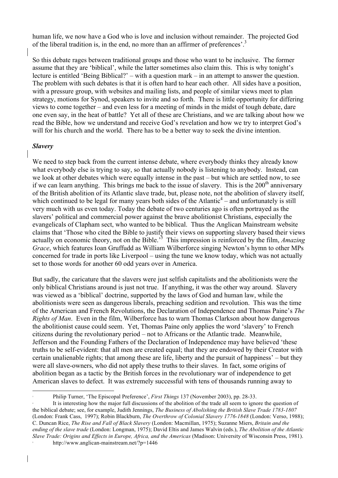human life, we now have a God who is love and inclusion without remainder. The projected God of the liberal tradition is, in the end, no more than an affirmer of preferences'.

So this debate rages between traditional groups and those who want to be inclusive. The former assume that they are 'biblical', while the latter sometimes also claim this. This is why tonight's lecture is entitled 'Being Biblical?' – with a question mark – in an attempt to answer the question. The problem with such debates is that it is often hard to hear each other. All sides have a position, with a pressure group, with websites and mailing lists, and people of similar views meet to plan strategy, motions for Synod, speakers to invite and so forth. There is little opportunity for differing views to come together – and even less for a meeting of minds in the midst of tough debate, dare one even say, in the heat of battle? Yet all of these are Christians, and we are talking about how we read the Bible, how we understand and receive God's revelation and how we try to interpret God's will for his church and the world. There has to be a better way to seek the divine intention.

#### *Slavery*

We need to step back from the current intense debate, where everybody thinks they already know what everybody else is trying to say, so that actually nobody is listening to anybody. Instead, can we look at other debates which were equally intense in the past – but which are settled now, to see if we can learn anything. This brings me back to the issue of slavery. This is the  $200<sup>th</sup>$  anniversary of the British abolition of its Atlantic slave trade, but, please note, not the abolition of slavery itself, which continued to be legal for many years both sides of the Atlantic<sup>4</sup> – and unfortunately is still very much with us even today. Today the debate of two centuries ago is often portrayed as the slavers' political and commercial power against the brave abolitionist Christians, especially the evangelicals of Clapham sect, who wanted to be biblical. Thus the Anglican Mainstream website claims that 'Those who cited the Bible to justify their views on supporting slavery based their views actually on economic theory, not on the Bible.<sup>55</sup> This impression is reinforced by the film, *Amazing Grace*, which features Ioan Gruffudd as William Wilberforce singing Newton's hymn to other MPs concerned for trade in ports like Liverpool – using the tune we know today, which was not actually set to those words for another 60 odd years over in America.

But sadly, the caricature that the slavers were just selfish capitalists and the abolitionists were the only biblical Christians around is just not true. If anything, it was the other way around. Slavery was viewed as a 'biblical' doctrine, supported by the laws of God and human law, while the abolitionists were seen as dangerous liberals, preaching sedition and revolution. This was the time of the American and French Revolutions, the Declaration of Independence and Thomas Paine's *The Rights of Man*. Even in the film, Wilberforce has to warn Thomas Clarkson about how dangerous the abolitionist cause could seem. Yet, Thomas Paine only applies the word 'slavery' to French citizens during the revolutionary period – not to Africans or the Atlantic trade. Meanwhile, Jefferson and the Founding Fathers of the Declaration of Independence may have believed 'these truths to be self-evident: that all men are created equal; that they are endowed by their Creator with certain unalienable rights; that among these are life, liberty and the pursuit of happiness' – but they were all slave-owners, who did not apply these truths to their slaves. In fact, some origins of abolition began as a tactic by the British forces in the revolutionary war of independence to get American slaves to defect. It was extremely successful with tens of thousands running away to

 <sup>3</sup> Philip Turner, 'The Episcopal Preference', *First Things* 137 (November 2003), pp. 28-33.

It is interesting how the major full discussions of the abolition of the trade all seem to ignore the question of the biblical debate; see, for example, Judith Jennings, *The Business of Abolishing the British Slave Trade 1783-1807* (London: Frank Cass, 1997); Robin Blackburn, *The Overthrow of Colonial Slavery 1776-1848* (London: Verso, 1988); C. Duncan Rice, *The Rise and Fall of Black Slavery* (London: Macmillan, 1975); Suzanne Miers, *Britain and the ending of the slave trade* (London: Longman, 1975); David Eltis and James Walvin (eds.), *The Abolition of the Atlantic Slave Trade: Origins and Effects in Europe, Africa, and the Americas* (Madison: University of Wisconsin Press, 1981). <sup>5</sup> http://www.anglican-mainstream.net/?p=1446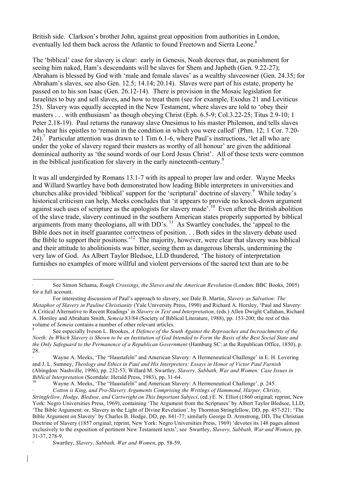British side. Clarkson's brother John, against great opposition from authorities in London, eventually led them back across the Atlantic to found Freetown and Sierra Leone.<sup>6</sup>

The 'biblical' case for slavery is clear: early in Genesis, Noah decrees that, as punishment for seeing him naked, Ham's descendants will be slaves for Shem and Japheth (Gen. 9.22-27); Abraham is blessed by God with 'male and female slaves' as a wealthy slaveowner (Gen. 24.35; for Abraham's slaves, see also Gen. 12.5; 14.14; 20.14). Slaves were part of his estate, property he passed on to his son Isaac (Gen. 26.12-14). There is provision in the Mosaic legislation for Israelites to buy and sell slaves, and how to treat them (see for example, Exodus 21 and Leviticus 25). Slavery was equally accepted in the New Testament, where slaves are told to 'obey their masters . . . with enthusiasm' as though obeying Christ (Eph. 6.5-9; Col.3.22-25; Titus 2.9-10; 1 Peter 2.18-19). Paul returns the runaway slave Onesimus to his master Philemon, and tells slaves who hear his epistles to 'remain in the condition in which you were called' (Phm. 12; 1 Cor. 7.20-24).<sup>7</sup> Particular attention was drawn to 1 Tim 6.1-6, where Paul's instructions, 'let all who are under the yoke of slavery regard their masters as worthy of all honour' are given the additional dominical authority as 'the sound words of our Lord Jesus Christ'. All of these texts were common in the biblical justification for slavery in the early nineteenth-century.<sup>8</sup>

It was all undergirded by Romans 13.1-7 with its appeal to proper law and order. Wayne Meeks and Willard Swartley have both demonstrated how leading Bible interpreters in universities and churches alike provided 'biblical' support for the 'scriptural' doctrine of slavery. 9 While today's historical criticism can help, Meeks concludes that 'it appears to provide no knock-down argument against such uses of scripture as the apologists for slavery made<sup>'.10</sup> Even after the British abolition of the slave trade, slavery continued in the southern American states properly supported by biblical arguments from many theologians, all with DD's.<sup>11</sup> As Swartley concludes, the 'appeal to the Bible does not in itself guarantee correctness of position. . . Both sides in the slavery debate used the Bible to support their positions.<sup>'12</sup> The majority, however, were clear that slavery was biblical and their attitude to abolitionists was bitter, seeing them as dangerous liberals, undermining the very law of God. As Albert Taylor Bledsoe, LLD thundered, 'The history of interpretation furnishes no examples of more willful and violent perversions of the sacred text than are to be

 <sup>6</sup> See Simon Schama, *Rough Crossings, the Slaves and the American Revolution* (London: BBC Books, 2005) for a full account.

<sup>7</sup> For interesting discussion of Paul's approach to slavery, see Dale B. Martin, *Slavery as Salvation: The Metaphor of Slavery in Pauline Christianity* (Yale University Press, 1990) and Richard A. Horsley, 'Paul and Slavery: A Critical Alternative to Recent Readings' in *Slavery in Text and Interpretation*, (eds.) Allen Dwight Callahan, Richard A. Horsley and Abraham Smith, *Semeia* 83/84 (Society of Biblical Literature, 1988), pp. 153-200; the rest of this volume of *Semeia* contains a number of other relevant articles.<br><sup>8</sup> See especially Iveson L. Brookes, *A Defence of the South Against the Reproaches and Incroachments of the* 

*North: In Which Slavery is Shown to be an Institution of God Intended to Form the Basis of the Best Social State and the Only Safeguard to the Permanence of a Republican Government* (Hamburg SC: at the Republican Office, 1850), p. 28.

<sup>9</sup> Wayne A. Meeks, 'The "Haustafeln" and American Slavery: A Hermeneutical Challenge' in E. H. Lovering and J. L. Sumney, *Theology and Ethics in Paul and His Interpreters: Essays in Honor of Victor Paul Furnish* (Abingdon: Nashville, 1996), pp. 232-53; Willard M. Swartley, *Slavery, Sabbath, War and Women: Case Issues in* 

<sup>&</sup>lt;sup>10</sup> Wayne A. Meeks, 'The "Haustafeln" and American Slavery: A Hermeneutical Challenge', p. 245.

<sup>11</sup> *Cotton is King, and Pro-Slavery Arguments Comprising the Writings of Hammond, Harper, Christy, Stringfellow, Hodge, Bledsoe, and Cartwright on This Important Subject*, (ed.) E. N. Elliot (1860 original; reprint, New York: Negro Universities Press, 1969), containing 'The Argument from the Scriptures' by Albert Taylor Bledsoe, LLD; 'The Bible Argument: or, Slavery in the Light of Divine Revelation', by Thornton Stringfellow, DD, pp. 457-521; 'The Bible Argument on Slavery' by Charles B. Hodge, DD, pp. 841-77; similarly George D. Armstrong, DD, The Christian Doctrine of Slavery (1857 original; reprint, New York: Negro Universities Press, 1969) 'devotes its 148 pages almost exclusively to the exposition of pertinent New Testament texts'; see Swartley, *Slavery, Sabbath, War and Women*, pp. 31-37, 278-9.

<sup>12</sup> Swartley, *Slavery, Sabbath, War and Women*, pp. 58-59.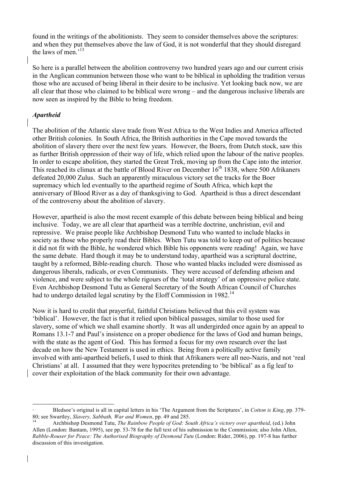found in the writings of the abolitionists. They seem to consider themselves above the scriptures: and when they put themselves above the law of God, it is not wonderful that they should disregard the laws of men.'13

So here is a parallel between the abolition controversy two hundred years ago and our current crisis in the Anglican communion between those who want to be biblical in upholding the tradition versus those who are accused of being liberal in their desire to be inclusive. Yet looking back now, we are all clear that those who claimed to be biblical were wrong – and the dangerous inclusive liberals are now seen as inspired by the Bible to bring freedom.

#### *Apartheid*

The abolition of the Atlantic slave trade from West Africa to the West Indies and America affected other British colonies. In South Africa, the British authorities in the Cape moved towards the abolition of slavery there over the next few years. However, the Boers, from Dutch stock, saw this as further British oppression of their way of life, which relied upon the labour of the native peoples. In order to escape abolition, they started the Great Trek, moving up from the Cape into the interior. This reached its climax at the battle of Blood River on December  $16<sup>th</sup>$  1838, where 500 Afrikaners defeated 20,000 Zulus. Such an apparently miraculous victory set the tracks for the Boer supremacy which led eventually to the apartheid regime of South Africa, which kept the anniversary of Blood River as a day of thanksgiving to God. Apartheid is thus a direct descendant of the controversy about the abolition of slavery.

However, apartheid is also the most recent example of this debate between being biblical and being inclusive. Today, we are all clear that apartheid was a terrible doctrine, unchristian, evil and repressive. We praise people like Archbishop Desmond Tutu who wanted to include blacks in society as those who properly read their Bibles. When Tutu was told to keep out of politics because it did not fit with the Bible, he wondered which Bible his opponents were reading! Again, we have the same debate. Hard though it may be to understand today, apartheid was a scriptural doctrine, taught by a reformed, Bible-reading church. Those who wanted blacks included were dismissed as dangerous liberals, radicals, or even Communists. They were accused of defending atheism and violence, and were subject to the whole rigours of the 'total strategy' of an oppressive police state. Even Archbishop Desmond Tutu as General Secretary of the South African Council of Churches had to undergo detailed legal scrutiny by the Eloff Commission in 1982.<sup>14</sup>

Now it is hard to credit that prayerful, faithful Christians believed that this evil system was 'biblical'. However, the fact is that it relied upon biblical passages, similar to those used for slavery, some of which we shall examine shortly. It was all undergirded once again by an appeal to Romans 13.1-7 and Paul's insistence on a proper obedience for the laws of God and human beings, with the state as the agent of God. This has formed a focus for my own research over the last decade on how the New Testament is used in ethics. Being from a politically active family involved with anti-apartheid beliefs, I used to think that Afrikaners were all neo-Nazis, and not 'real Christians' at all. I assumed that they were hypocrites pretending to 'be biblical' as a fig leaf to cover their exploitation of the black community for their own advantage.

 <sup>13</sup> Bledsoe's original is all in capital letters in his 'The Argument from the Scriptures', in *Cotton is King*, pp. 379- 80; see Swartley, *Slavery, Sabbath, War and Women*, pp. 49 and 285.<br><sup>14</sup> Archbishop Desmond Tutu, *The Rainbow People of God: South Africa's victory over apartheid*, (ed.) John

Allen (London: Bantam, 1995), see pp. 53-78 for the full text of his submission to the Commission; also John Allen, *Rabble-Rouser for Peace: The Authorised Biography of Desmond Tutu* (London: Rider, 2006), pp. 197-8 has further discussion of this investigation.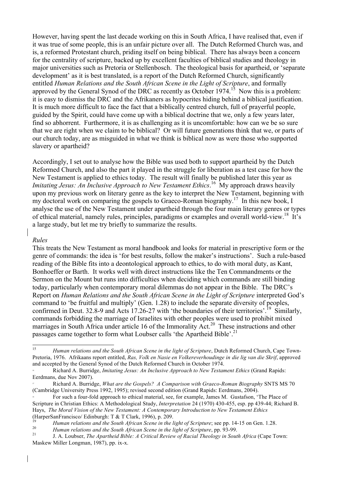However, having spent the last decade working on this in South Africa, I have realised that, even if it was true of some people, this is an unfair picture over all. The Dutch Reformed Church was, and is, a reformed Protestant church, priding itself on being biblical. There has always been a concern for the centrality of scripture, backed up by excellent faculties of biblical studies and theology in major universities such as Pretoria or Stellenbosch. The theological basis for apartheid, or 'separate development' as it is best translated, is a report of the Dutch Reformed Church, significantly entitled *Human Relations and the South African Scene in the Light of Scripture*, and formally approved by the General Synod of the DRC as recently as October  $1974$ .<sup>15</sup> Now this is a problem: it is easy to dismiss the DRC and the Afrikaners as hypocrites hiding behind a biblical justification. It is much more difficult to face the fact that a biblically centred church, full of prayerful people, guided by the Spirit, could have come up with a biblical doctrine that we, only a few years later, find so abhorrent. Furthermore, it is as challenging as it is uncomfortable: how can we be so sure that we are right when we claim to be biblical? Or will future generations think that we, or parts of our church today, are as misguided in what we think is biblical now as were those who supported slavery or apartheid?

Accordingly, I set out to analyse how the Bible was used both to support apartheid by the Dutch Reformed Church, and also the part it played in the struggle for liberation as a test case for how the New Testament is applied to ethics today. The result will finally be published later this year as *Imitating Jesus: An Inclusive Approach to New Testament Ethics*.<sup>16</sup> My approach draws heavily upon my previous work on literary genre as the key to interpret the New Testament, beginning with my doctoral work on comparing the gospels to Graeco-Roman biography.<sup>17</sup> In this new book, I analyse the use of the New Testament under apartheid through the four main literary genres or types of ethical material, namely rules, principles, paradigms or examples and overall world-view.18 It's a large study, but let me try briefly to summarize the results.

#### *Rules*

This treats the New Testament as moral handbook and looks for material in prescriptive form or the genre of commands: the idea is 'for best results, follow the maker's instructions'. Such a rule-based reading of the Bible fits into a deontological approach to ethics, to do with moral duty, as Kant, Bonhoeffer or Barth. It works well with direct instructions like the Ten Commandments or the Sermon on the Mount but runs into difficulties when deciding which commands are still binding today, particularly when contemporary moral dilemmas do not appear in the Bible. The DRC's Report on *Human Relations and the South African Scene in the Light of Scripture* interpreted God's command to 'be fruitful and multiply' (Gen. 1.28) to include the separate diversity of peoples, confirmed in Deut. 32.8-9 and Acts 17.26-27 with 'the boundaries of their territories'.<sup>19</sup> Similarly, commands forbidding the marriage of Israelites with other peoples were used to prohibit mixed marriages in South Africa under article 16 of the Immorality Act.<sup>20</sup> These instructions and other passages came together to form what Loubser calls 'the Apartheid Bible'.<sup>21</sup>

<sup>&</sup>lt;sup>15</sup> *Human relations and the South African Scene in the light of Scripture*, Dutch Reformed Church, Cape Town-Pretoria, 1976. Afrikaans report entitled, *Ras, Volk en Nasie en Volkereverhoudinge in die lig van die Skrif*, approved and accepted by the General Synod of the Dutch Reformed Church in October 1974.

<sup>16</sup> Richard A. Burridge, *Imitating Jesus: An Inclusive Approach to New Testament Ethics* (Grand Rapids: Eerdmans, due Nov 2007).

<sup>17</sup> Richard A. Burridge, *What are the Gospels? A Comparison with Graeco-Roman Biography* SNTS MS 70 (Cambridge University Press 1992, 1995); revised second edition (Grand Rapids: Eerdmans, 2004).

<sup>18</sup> For such a four-fold approach to ethical material, see, for example, James M. Gustafson, 'The Place of Scripture in Christian Ethics: A Methodological Study, *Interpretation* 24 (1970) 430-455, esp. pp 439-44; Richard B. Hays, *The Moral Vision of the New Testament: A Contemporary Introduction to New Testament Ethics* (HarperSanFrancisco/ Edinburgh: T & T Clark, 1996), p. 209.

<sup>&</sup>lt;sup>19</sup> *Human relations and the South African Scene in the light of Scripture*; see pp. 14-15 on Gen. 1.28.<br><sup>20</sup> *Human relations and the South African Scene in the light of Scripture*, pp. 93-99.<br><sup>21</sup> J. A. Loubser, *The A* 

Maskew Miller Longman, 1987), pp. ix-x.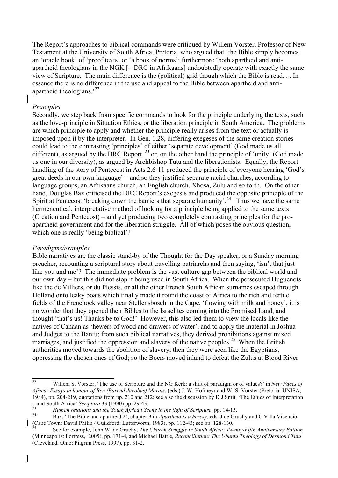The Report's approaches to biblical commands were critiqued by Willem Vorster, Professor of New Testament at the University of South Africa, Pretoria, who argued that 'the Bible simply becomes an 'oracle book' of 'proof texts' or 'a book of norms'; furthermore 'both apartheid and antiapartheid theologians in the NGK [= DRC in Afrikaans] undoubtedly operate with exactly the same view of Scripture. The main difference is the (political) grid though which the Bible is read. . . In essence there is no difference in the use and appeal to the Bible between apartheid and antiapartheid theologians.'22

#### *Principles*

Secondly, we step back from specific commands to look for the principle underlying the texts, such as the love-principle in Situation Ethics, or the liberation principle in South America. The problems are which principle to apply and whether the principle really arises from the text or actually is imposed upon it by the interpreter. In Gen. 1.28, differing exegeses of the same creation stories could lead to the contrasting 'principles' of either 'separate development' (God made us all different), as argued by the DRC Report,  $^{23}$  or, on the other hand the principle of 'unity' (God made us one in our diversity), as argued by Archbishop Tutu and the liberationists. Equally, the Report handling of the story of Pentecost in Acts 2.6-11 produced the principle of everyone hearing 'God's great deeds in our own language' – and so they justified separate racial churches, according to language groups, an Afrikaans church, an English church, Xhosa, Zulu and so forth. On the other hand, Douglas Bax criticised the DRC Report's exegesis and produced the opposite principle of the Spirit at Pentecost 'breaking down the barriers that separate humanity'.<sup>24</sup> Thus we have the same hermeneutical, interpretative method of looking for a principle being applied to the same texts (Creation and Pentecost) – and yet producing two completely contrasting principles for the proapartheid government and for the liberation struggle. All of which poses the obvious question, which one is really 'being biblical'?

#### *Paradigms/examples*

Bible narratives are the classic stand-by of the Thought for the Day speaker, or a Sunday morning preacher, recounting a scriptural story about travelling patriarchs and then saying, 'isn't that just like you and me'? The immediate problem is the vast culture gap between the biblical world and our own day – but this did not stop it being used in South Africa. When the persecuted Huguenots like the de Villiers, or du Plessis, or all the other French South African surnames escaped through Holland onto leaky boats which finally made it round the coast of Africa to the rich and fertile fields of the Frenchoek valley near Stellensbosch in the Cape, 'flowing with milk and honey', it is no wonder that they opened their Bibles to the Israelites coming into the Promised Land, and thought 'that's us! Thanks be to God!' However, this also led them to view the locals like the natives of Canaan as 'hewers of wood and drawers of water', and to apply the material in Joshua and Judges to the Bantu; from such biblical narratives, they derived prohibitions against mixed marriages, and justified the oppression and slavery of the native peoples.<sup>25</sup> When the British authorities moved towards the abolition of slavery, then they were seen like the Egyptians, oppressing the chosen ones of God; so the Boers moved inland to defeat the Zulus at Blood River

<sup>22</sup> Willem S. Vorster, 'The use of Scripture and the NG Kerk: a shift of paradigm or of values?' in *New Faces of Africa: Essays in honour of Ben (Barend Jacobus) Marais*, (eds.) J. W. Hofmeyr and W. S. Vorster (Pretoria: UNISA, 1984), pp. 204-219, quotations from pp. 210 and 212; see also the discussion by D J Smit, 'The Ethics of Interpretation - and South Africa' Scriptura 33 (1990) pp. 29-43.<br>
Human relations and the South African Scene in the light of Scripture, pp. 14-15.<br>
Bax, 'The Bible and apartheid 2', chapter 9 in Apartheid is a heresy, eds. J de Gruchy

<sup>(</sup>Cape Town: David Philip / Guildford: Lutterworth, 1983), pp. 112-43; see pp. 128-130.<br><sup>25</sup> See for example, John W. de Gruchy, *The Church Struggle in South Africa: Twenty-Fifth Anniversary Edition* 

<sup>(</sup>Minneapolis: Fortress, 2005), pp. 171-4, and Michael Battle, *Reconciliation: The Ubuntu Theology of Desmond Tutu* (Cleveland, Ohio: Pilgrim Press, 1997), pp. 31-2.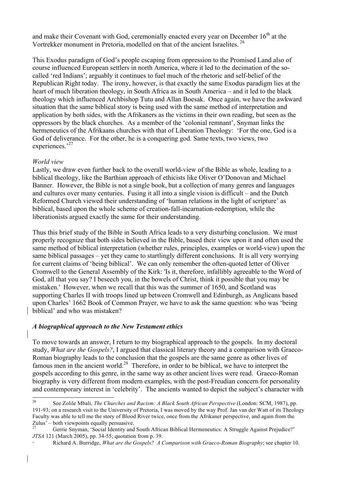and make their Covenant with God, ceremonially enacted every year on December  $16<sup>th</sup>$  at the Vortrekker monument in Pretoria, modelled on that of the ancient Israelites.<sup>26</sup>

This Exodus paradigm of God's people escaping from oppression to the Promised Land also of course influenced European settlers in north America, where it led to the decimation of the socalled 'red Indians'; arguably it continues to fuel much of the rhetoric and self-belief of the Republican Right today. The irony, however, is that exactly the same Exodus paradigm lies at the heart of much liberation theology, in South Africa as in South America – and it led to the black theology which influenced Archbishop Tutu and Allan Boesak. Once again, we have the awkward situation that the same biblical story is being used with the same method of interpretation and application by both sides, with the Afrikaners as the victims in their own reading, but seen as the oppressors by the black churches. As a member of the 'colonial remnant', Snyman links the hermeneutics of the Afrikaans churches with that of Liberation Theology: 'For the one, God is a God of deliverance. For the other, he is a conquering god. Same texts, two views, two experiences.<sup>27</sup>

#### *World view*

Lastly, we draw even further back to the overall world-view of the Bible as whole, leading to a biblical theology, like the Barthian approach of ethicists like Oliver O'Donovan and Michael Banner. However, the Bible is not a single book, but a collection of many genres and languages and cultures over many centuries. Fusing it all into a single vision is difficult – and the Dutch Reformed Church viewed their understanding of 'human relations in the light of scripture' as biblical, based upon the whole scheme of creation-fall-incarnation-redemption, while the liberationists argued exactly the same for their understanding.

Thus this brief study of the Bible in South Africa leads to a very disturbing conclusion. We must properly recognize that both sides believed in the Bible, based their view upon it and often used the same method of biblical interpretation (whether rules, principles, examples or world-view) upon the same biblical passages – yet they came to startlingly different conclusions. It is all very worrying for current claims of 'being biblical'. We can only remember the often-quoted letter of Oliver Cromwell to the General Assembly of the Kirk: 'Is it, therefore, infallibly agreeable to the Word of God, all that you say? I beseech you, in the bowels of Christ, think it possible that you may be mistaken.' However, when we recall that this was the summer of 1650, and Scotland was supporting Charles II with troops lined up between Cromwell and Edinburgh, as Anglicans based upon Charles' 1662 Book of Common Prayer, we have to ask the same question: who was 'being biblical' and who was mistaken?

#### *A biographical approach to the New Testament ethics*

To move towards an answer, I return to my biographical approach to the gospels. In my doctoral study, *What are the Gospels?*, I argued that classical literary theory and a comparison with Graeco-Roman biography leads to the conclusion that the gospels are the same genre as other lives of famous men in the ancient world.<sup>28</sup> Therefore, in order to be biblical, we have to interpret the gospels according to this genre, in the same way as other ancient lives were read. Graeco-Roman biography is very different from modern examples, with the post-Freudian concern for personality and contemporary interest in 'celebrity'. The ancients wanted to depict the subject's character with

<sup>26</sup> See Zolile Mbali, *The Churches and Racism: A Black South African Perspective* (London: SCM, 1987), pp. 191-93; on a research visit to the University of Pretoria, I was moved by the way Prof. Jan van der Watt of its Theology Faculty was able to tell me the story of Blood River twice, once from the Afrikaner perspective, and again from the Zulus' – both viewpoints equally persuasive.

Gerrie Snyman, 'Social Identity and South African Biblical Hermeneutics: A Struggle Against Prejudice?' *JTSA* 121 (March 2005), pp. 34-55; quotation from p. 39.

<sup>28</sup> Richard A. Burridge, *What are the Gospels? A Comparison with Graeco-Roman Biography*; see chapter 10.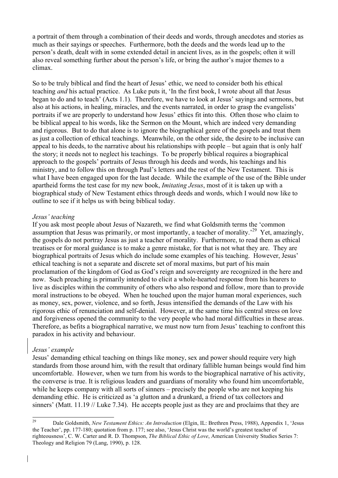a portrait of them through a combination of their deeds and words, through anecdotes and stories as much as their sayings or speeches. Furthermore, both the deeds and the words lead up to the person's death, dealt with in some extended detail in ancient lives, as in the gospels; often it will also reveal something further about the person's life, or bring the author's major themes to a climax.

So to be truly biblical and find the heart of Jesus' ethic, we need to consider both his ethical teaching *and* his actual practice. As Luke puts it, 'In the first book, I wrote about all that Jesus began to do and to teach' (Acts 1.1). Therefore, we have to look at Jesus' sayings and sermons, but also at his actions, in healing, miracles, and the events narrated, in order to grasp the evangelists' portraits if we are properly to understand how Jesus' ethics fit into this. Often those who claim to be biblical appeal to his words, like the Sermon on the Mount, which are indeed very demanding and rigorous. But to do that alone is to ignore the biographical genre of the gospels and treat them as just a collection of ethical teachings. Meanwhile, on the other side, the desire to be inclusive can appeal to his deeds, to the narrative about his relationships with people – but again that is only half the story; it needs not to neglect his teachings. To be properly biblical requires a biographical approach to the gospels' portraits of Jesus through his deeds and words, his teachings and his ministry, and to follow this on through Paul's letters and the rest of the New Testament. This is what I have been engaged upon for the last decade. While the example of the use of the Bible under apartheid forms the test case for my new book, *Imitating Jesus*, most of it is taken up with a biographical study of New Testament ethics through deeds and words, which I would now like to outline to see if it helps us with being biblical today.

#### *Jesus' teaching*

If you ask most people about Jesus of Nazareth, we find what Goldsmith terms the 'common assumption that Jesus was primarily, or most importantly, a teacher of morality.'29 Yet, amazingly, the gospels do not portray Jesus as just a teacher of morality. Furthermore, to read them as ethical treatises or for moral guidance is to make a genre mistake, for that is not what they are. They are biographical portraits of Jesus which do include some examples of his teaching. However, Jesus' ethical teaching is not a separate and discrete set of moral maxims, but part of his main proclamation of the kingdom of God as God's reign and sovereignty are recognized in the here and now. Such preaching is primarily intended to elicit a whole-hearted response from his hearers to live as disciples within the community of others who also respond and follow, more than to provide moral instructions to be obeyed. When he touched upon the major human moral experiences, such as money, sex, power, violence, and so forth, Jesus intensified the demands of the Law with his rigorous ethic of renunciation and self-denial. However, at the same time his central stress on love and forgiveness opened the community to the very people who had moral difficulties in these areas. Therefore, as befits a biographical narrative, we must now turn from Jesus' teaching to confront this paradox in his activity and behaviour.

#### *Jesus' example*

Jesus' demanding ethical teaching on things like money, sex and power should require very high standards from those around him, with the result that ordinary fallible human beings would find him uncomfortable. However, when we turn from his words to the biographical narrative of his activity, the converse is true. It is religious leaders and guardians of morality who found him uncomfortable, while he keeps company with all sorts of sinners – precisely the people who are not keeping his demanding ethic. He is criticized as 'a glutton and a drunkard, a friend of tax collectors and sinners' (Matt. 11.19 // Luke 7.34). He accepts people just as they are and proclaims that they are

<sup>29</sup> Dale Goldsmith, *New Testament Ethics: An Introduction* (Elgin, IL: Brethren Press, 1988), Appendix 1, 'Jesus the Teacher', pp. 177-180; quotation from p. 177; see also, 'Jesus Christ was the world's greatest teacher of righteousness', C. W. Carter and R. D. Thompson, *The Biblical Ethic of Love*, American University Studies Series 7: Theology and Religion 79 (Lang, 1990), p. 128.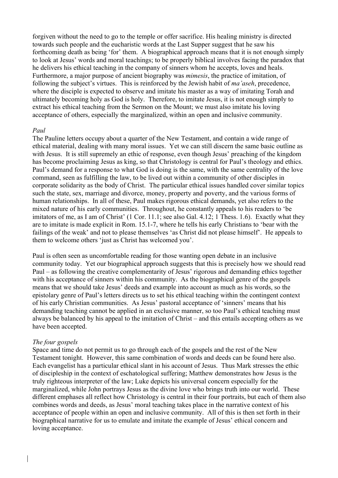forgiven without the need to go to the temple or offer sacrifice. His healing ministry is directed towards such people and the eucharistic words at the Last Supper suggest that he saw his forthcoming death as being 'for' them. A biographical approach means that it is not enough simply to look at Jesus' words and moral teachings; to be properly biblical involves facing the paradox that he delivers his ethical teaching in the company of sinners whom he accepts, loves and heals. Furthermore, a major purpose of ancient biography was *mimesis*, the practice of imitation, of following the subject's virtues. This is reinforced by the Jewish habit of *ma'aseh*, precedence, where the disciple is expected to observe and imitate his master as a way of imitating Torah and ultimately becoming holy as God is holy. Therefore, to imitate Jesus, it is not enough simply to extract his ethical teaching from the Sermon on the Mount; we must also imitate his loving acceptance of others, especially the marginalized, within an open and inclusive community.

#### *Paul*

The Pauline letters occupy about a quarter of the New Testament, and contain a wide range of ethical material, dealing with many moral issues. Yet we can still discern the same basic outline as with Jesus. It is still supremely an ethic of response, even though Jesus' preaching of the kingdom has become proclaiming Jesus as king, so that Christology is central for Paul's theology and ethics. Paul's demand for a response to what God is doing is the same, with the same centrality of the love command, seen as fulfilling the law, to be lived out within a community of other disciples in corporate solidarity as the body of Christ. The particular ethical issues handled cover similar topics such the state, sex, marriage and divorce, money, property and poverty, and the various forms of human relationships. In all of these, Paul makes rigorous ethical demands, yet also refers to the mixed nature of his early communities. Throughout, he constantly appeals to his readers to 'be imitators of me, as I am of Christ' (1 Cor. 11.1; see also Gal. 4.12; 1 Thess. 1.6). Exactly what they are to imitate is made explicit in Rom. 15.1-7, where he tells his early Christians to 'bear with the failings of the weak' and not to please themselves 'as Christ did not please himself'. He appeals to them to welcome others 'just as Christ has welcomed you'.

Paul is often seen as uncomfortable reading for those wanting open debate in an inclusive community today. Yet our biographical approach suggests that this is precisely how we should read Paul – as following the creative complementarity of Jesus' rigorous and demanding ethics together with his acceptance of sinners within his community. As the biographical genre of the gospels means that we should take Jesus' deeds and example into account as much as his words, so the epistolary genre of Paul's letters directs us to set his ethical teaching within the contingent context of his early Christian communities. As Jesus' pastoral acceptance of 'sinners' means that his demanding teaching cannot be applied in an exclusive manner, so too Paul's ethical teaching must always be balanced by his appeal to the imitation of Christ – and this entails accepting others as we have been accepted.

#### *The four gospels*

Space and time do not permit us to go through each of the gospels and the rest of the New Testament tonight. However, this same combination of words and deeds can be found here also. Each evangelist has a particular ethical slant in his account of Jesus. Thus Mark stresses the ethic of discipleship in the context of eschatological suffering; Matthew demonstrates how Jesus is the truly righteous interpreter of the law; Luke depicts his universal concern especially for the marginalized, while John portrays Jesus as the divine love who brings truth into our world. These different emphases all reflect how Christology is central in their four portraits, but each of them also combines words and deeds, as Jesus' moral teaching takes place in the narrative context of his acceptance of people within an open and inclusive community. All of this is then set forth in their biographical narrative for us to emulate and imitate the example of Jesus' ethical concern and loving acceptance.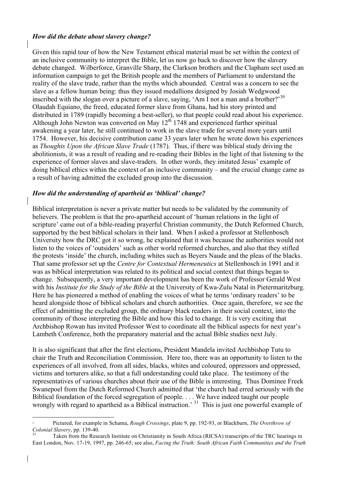#### *How did the debate about slavery change?*

Given this rapid tour of how the New Testament ethical material must be set within the context of an inclusive community to interpret the Bible, let us now go back to discover how the slavery debate changed. Wilberforce, Granville Sharp, the Clarkson brothers and the Clapham sect used an information campaign to get the British people and the members of Parliament to understand the reality of the slave trade, rather than the myths which abounded. Central was a concern to see the slave as a fellow human being: thus they issued medallions designed by Josiah Wedgwood inscribed with the slogan over a picture of a slave, saying, 'Am I not a man and a brother?'<sup>30</sup> Olaudah Equiano, the freed, educated former slave from Ghana, had his story printed and distributed in 1789 (rapidly becoming a best-seller), so that people could read about his experience. Although John Newton was converted on May  $12^{th}$  1748 and experienced further spiritual awakening a year later, he still continued to work in the slave trade for several more years until 1754. However, his decisive contribution came 33 years later when he wrote down his experiences as *Thoughts Upon the African Slave Trade* (1787). Thus, if there was biblical study driving the abolitionists, it was a result of reading and re-reading their Bibles in the light of that listening to the experience of former slaves and slave-traders. In other words, they imitated Jesus' example of doing biblical ethics within the context of an inclusive community – and the crucial change came as a result of having admitted the excluded group into the discussion.

#### *How did the understanding of apartheid as 'biblical' change?*

Biblical interpretation is never a private matter but needs to be validated by the community of believers. The problem is that the pro-apartheid account of 'human relations in the light of scripture' came out of a bible-reading prayerful Christian community, the Dutch Reformed Church, supported by the best biblical scholars in their land. When I asked a professor at Stellenbosch University how the DRC got it so wrong, he explained that it was because the authorities would not listen to the voices of 'outsiders' such as other world reformed churches, and also that they stifled the protests 'inside' the church, including whites such as Beyers Naude and the pleas of the blacks. That same professor set up the *Centre for Contextual Hermeneutics* at Stellenbosch in 1991 and it was as biblical interpretation was related to its political and social context that things began to change. Subsequently, a very important development has been the work of Professor Gerald West with his *Institute for the Study of the Bible* at the University of Kwa-Zulu Natal in Pietermaritzburg. Here he has pioneered a method of enabling the voices of what he terms 'ordinary readers' to be heard alongside those of biblical scholars and church authorities. Once again, therefore, we see the effect of admitting the excluded group, the ordinary black readers in their social context, into the community of those interpreting the Bible and how this led to change. It is very exciting that Archbishop Rowan has invited Professor West to coordinate all the biblical aspects for next year's Lambeth Conference, both the preparatory material and the actual Bible studies next July.

It is also significant that after the first elections, President Mandela invited Archbishop Tutu to chair the Truth and Reconciliation Commission. Here too, there was an opportunity to listen to the experiences of all involved, from all sides, blacks, whites and coloured, oppressors and oppressed, victims and torturers alike, so that a full understanding could take place. The testimony of the representatives of various churches about their use of the Bible is interesting. Thus Dominee Freek Swanepoel from the Dutch Reformed Church admitted that 'the church had erred seriously with the Biblical foundation of the forced segregation of people. . . . We have indeed taught our people wrongly with regard to apartheid as a Biblical instruction.<sup>31</sup> This is just one powerful example of

 <sup>30</sup> Pictured, for example in Schama, *Rough Crossings*, plate 9, pp. 192-93, or Blackburn, *The Overthrow of Colonial Slavery*, pp. 139-40.<br><sup>31</sup> Taken from the Research Institute on Christianity in South Africa (RICSA) transcripts of the TRC hearings in

East London, Nov. 17-19, 1997, pp. 246-65; see also, *Facing the Truth: South African Faith Communities and the Truth*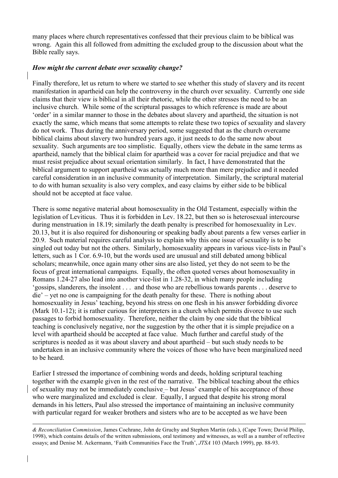many places where church representatives confessed that their previous claim to be biblical was wrong. Again this all followed from admitting the excluded group to the discussion about what the Bible really says.

#### *How might the current debate over sexuality change?*

Finally therefore, let us return to where we started to see whether this study of slavery and its recent manifestation in apartheid can help the controversy in the church over sexuality. Currently one side claims that their view is biblical in all their rhetoric, while the other stresses the need to be an inclusive church. While some of the scriptural passages to which reference is made are about 'order' in a similar manner to those in the debates about slavery and apartheid, the situation is not exactly the same, which means that some attempts to relate these two topics of sexuality and slavery do not work. Thus during the anniversary period, some suggested that as the church overcame biblical claims about slavery two hundred years ago, it just needs to do the same now about sexuality. Such arguments are too simplistic. Equally, others view the debate in the same terms as apartheid, namely that the biblical claim for apartheid was a cover for racial prejudice and that we must resist prejudice about sexual orientation similarly. In fact, I have demonstrated that the biblical argument to support apartheid was actually much more than mere prejudice and it needed careful consideration in an inclusive community of interpretation. Similarly, the scriptural material to do with human sexuality is also very complex, and easy claims by either side to be biblical should not be accepted at face value.

There is some negative material about homosexuality in the Old Testament, especially within the legislation of Leviticus. Thus it is forbidden in Lev. 18.22, but then so is heterosexual intercourse during menstruation in 18.19; similarly the death penalty is prescribed for homosexuality in Lev. 20.13, but it is also required for dishonouring or speaking badly about parents a few verses earlier in 20.9. Such material requires careful analysis to explain why this one issue of sexuality is to be singled out today but not the others. Similarly, homosexuality appears in various vice-lists in Paul's letters, such as 1 Cor. 6.9-10, but the words used are unusual and still debated among biblical scholars; meanwhile, once again many other sins are also listed, yet they do not seem to be the focus of great international campaigns. Equally, the often quoted verses about homosexuality in Romans 1.24-27 also lead into another vice-list in 1.28-32, in which many people including 'gossips, slanderers, the insolent . . . and those who are rebellious towards parents . . . deserve to die' – yet no one is campaigning for the death penalty for these. There is nothing about homosexuality in Jesus' teaching, beyond his stress on one flesh in his answer forbidding divorce (Mark 10.1-12); it is rather curious for interpreters in a church which permits divorce to use such passages to forbid homosexuality. Therefore, neither the claim by one side that the biblical teaching is conclusively negative, nor the suggestion by the other that it is simple prejudice on a level with apartheid should be accepted at face value. Much further and careful study of the scriptures is needed as it was about slavery and about apartheid – but such study needs to be undertaken in an inclusive community where the voices of those who have been marginalized need to be heard.

Earlier I stressed the importance of combining words and deeds, holding scriptural teaching together with the example given in the rest of the narrative. The biblical teaching about the ethics of sexuality may not be immediately conclusive – but Jesus' example of his acceptance of those who were marginalized and excluded is clear. Equally, I argued that despite his strong moral demands in his letters, Paul also stressed the importance of maintaining an inclusive community with particular regard for weaker brothers and sisters who are to be accepted as we have been

 $\overline{a}$ *& Reconciliation Commission*, James Cochrane, John de Gruchy and Stephen Martin (eds.), (Cape Town; David Philip, 1998), which contains details of the written submissions, oral testimony and witnesses, as well as a number of reflective essays; and Denise M. Ackermann, 'Faith Communities Face the Truth', *JTSA* 103 (March 1999), pp. 88-93.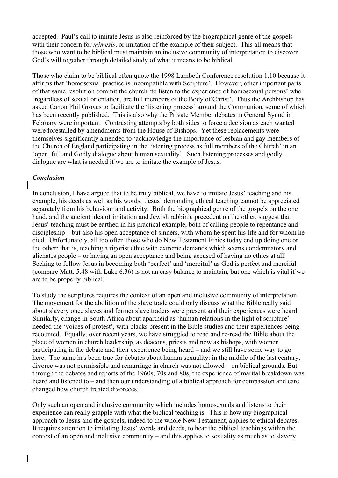accepted. Paul's call to imitate Jesus is also reinforced by the biographical genre of the gospels with their concern for *mimesis*, or imitation of the example of their subject. This all means that those who want to be biblical must maintain an inclusive community of interpretation to discover God's will together through detailed study of what it means to be biblical.

Those who claim to be biblical often quote the 1998 Lambeth Conference resolution 1.10 because it affirms that 'homosexual practice is incompatible with Scripture'. However, other important parts of that same resolution commit the church 'to listen to the experience of homosexual persons' who 'regardless of sexual orientation, are full members of the Body of Christ'. Thus the Archbishop has asked Canon Phil Groves to facilitate the 'listening process' around the Communion, some of which has been recently published. This is also why the Private Member debates in General Synod in February were important. Contrasting attempts by both sides to force a decision as each wanted were forestalled by amendments from the House of Bishops. Yet these replacements were themselves significantly amended to 'acknowledge the importance of lesbian and gay members of the Church of England participating in the listening process as full members of the Church' in an 'open, full and Godly dialogue about human sexuality'. Such listening processes and godly dialogue are what is needed if we are to imitate the example of Jesus.

#### *Conclusion*

In conclusion, I have argued that to be truly biblical, we have to imitate Jesus' teaching and his example, his deeds as well as his words. Jesus' demanding ethical teaching cannot be appreciated separately from his behaviour and activity. Both the biographical genre of the gospels on the one hand, and the ancient idea of imitation and Jewish rabbinic precedent on the other, suggest that Jesus' teaching must be earthed in his practical example, both of calling people to repentance and discipleship – but also his open acceptance of sinners, with whom he spent his life and for whom he died. Unfortunately, all too often those who do New Testament Ethics today end up doing one or the other: that is, teaching a rigorist ethic with extreme demands which seems condemnatory and alienates people – or having an open acceptance and being accused of having no ethics at all! Seeking to follow Jesus in becoming both 'perfect' and 'merciful' as God is perfect and merciful (compare Matt. 5.48 with Luke 6.36) is not an easy balance to maintain, but one which is vital if we are to be properly biblical.

To study the scriptures requires the context of an open and inclusive community of interpretation. The movement for the abolition of the slave trade could only discuss what the Bible really said about slavery once slaves and former slave traders were present and their experiences were heard. Similarly, change in South Africa about apartheid as 'human relations in the light of scripture' needed the 'voices of protest', with blacks present in the Bible studies and their experiences being recounted. Equally, over recent years, we have struggled to read and re-read the Bible about the place of women in church leadership, as deacons, priests and now as bishops, with women participating in the debate and their experience being heard – and we still have some way to go here. The same has been true for debates about human sexuality: in the middle of the last century, divorce was not permissible and remarriage in church was not allowed – on biblical grounds. But through the debates and reports of the 1960s, 70s and 80s, the experience of marital breakdown was heard and listened to – and then our understanding of a biblical approach for compassion and care changed how church treated divorcees.

Only such an open and inclusive community which includes homosexuals and listens to their experience can really grapple with what the biblical teaching is. This is how my biographical approach to Jesus and the gospels, indeed to the whole New Testament, applies to ethical debates. It requires attention to imitating Jesus' words and deeds, to hear the biblical teachings within the context of an open and inclusive community – and this applies to sexuality as much as to slavery